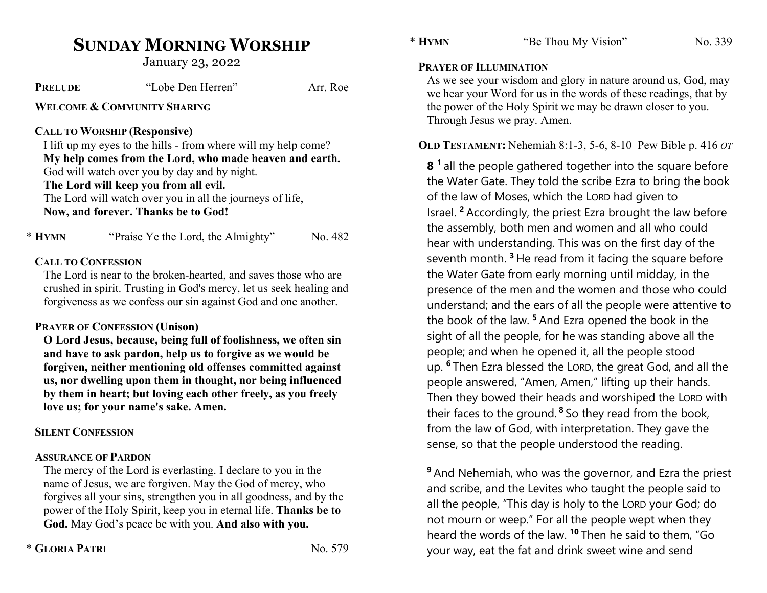# SUNDAY MORNING WORSHIP

January 23, 2022

| <b>PRELUDE</b>                         | "Lobe Den Herren"                                                                                                                                                                                                                                    | Arr. Roe |  |  |  |
|----------------------------------------|------------------------------------------------------------------------------------------------------------------------------------------------------------------------------------------------------------------------------------------------------|----------|--|--|--|
| <b>WELCOME &amp; COMMUNITY SHARING</b> |                                                                                                                                                                                                                                                      |          |  |  |  |
|                                        | <b>CALL TO WORSHIP (Responsive)</b><br>I lift up my eyes to the hills - from where will my help come?                                                                                                                                                |          |  |  |  |
|                                        | My help comes from the Lord, who made heaven and earth.<br>God will watch over you by day and by night.<br>The Lord will keep you from all evil.<br>The Lord will watch over you in all the journeys of life,<br>Now, and forever. Thanks be to God! |          |  |  |  |
| * Hymn                                 | "Praise Ye the Lord, the Almighty"                                                                                                                                                                                                                   | No. 482  |  |  |  |
| <b>CALL TO CONFESSION</b>              | The Lord is near to the broken-hearted, and saves those who are<br>crushed in spirit. Trusting in God's mercy, let us seek healing and<br>forgiveness as we confess our sin against God and one another.                                             |          |  |  |  |

#### PRAYER OF CONFESSION (Unison)

O Lord Jesus, because, being full of foolishness, we often sin and have to ask pardon, help us to forgive as we would be forgiven, neither mentioning old offenses committed against us, nor dwelling upon them in thought, nor being influenced by them in heart; but loving each other freely, as you freely love us; for your name's sake. Amen.

#### SILENT CONFESSION

#### ASSURANCE OF PARDON

The mercy of the Lord is everlasting. I declare to you in the name of Jesus, we are forgiven. May the God of mercy, who forgives all your sins, strengthen you in all goodness, and by the power of the Holy Spirit, keep you in eternal life. Thanks be to God. May God's peace be with you. And also with you.

#### PRAYER OF ILLUMINATION

As we see your wisdom and glory in nature around us, God, may we hear your Word for us in the words of these readings, that by the power of the Holy Spirit we may be drawn closer to you. Through Jesus we pray. Amen.

## OLD TESTAMENT: Nehemiah 8:1-3, 5-6, 8-10 Pew Bible p. 416 OT

8<sup>1</sup> all the people gathered together into the square before the Water Gate. They told the scribe Ezra to bring the book of the law of Moses, which the LORD had given to Israel. <sup>2</sup>Accordingly, the priest Ezra brought the law before the assembly, both men and women and all who could hear with understanding. This was on the first day of the seventh month.<sup>3</sup> He read from it facing the square before the Water Gate from early morning until midday, in the presence of the men and the women and those who could understand; and the ears of all the people were attentive to the book of the law.  $5$  And Ezra opened the book in the sight of all the people, for he was standing above all the people; and when he opened it, all the people stood up. <sup>6</sup>Then Ezra blessed the LORD, the great God, and all the people answered, "Amen, Amen," lifting up their hands. Then they bowed their heads and worshiped the LORD with their faces to the ground.<sup>8</sup> So they read from the book, from the law of God, with interpretation. They gave the sense, so that the people understood the reading.

<sup>9</sup> And Nehemiah, who was the governor, and Ezra the priest and scribe, and the Levites who taught the people said to all the people, "This day is holy to the LORD your God; do not mourn or weep." For all the people wept when they heard the words of the law. <sup>10</sup> Then he said to them, "Go your way, eat the fat and drink sweet wine and send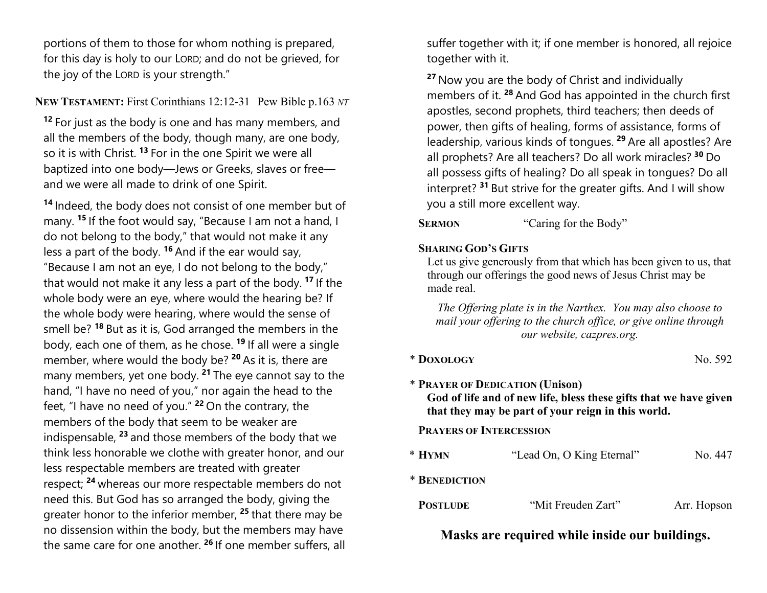portions of them to those for whom nothing is prepared, for this day is holy to our LORD; and do not be grieved, for the joy of the LORD is your strength."

## NEW TESTAMENT: First Corinthians 12:12-31 Pew Bible p.163 NT

<sup>12</sup> For just as the body is one and has many members, and all the members of the body, though many, are one body, so it is with Christ.<sup>13</sup> For in the one Spirit we were all baptized into one body—Jews or Greeks, slaves or free and we were all made to drink of one Spirit.

<sup>14</sup> Indeed, the body does not consist of one member but of many. <sup>15</sup> If the foot would say, "Because I am not a hand, I do not belong to the body," that would not make it any less a part of the body.  $16$  And if the ear would say, "Because I am not an eye, I do not belong to the body," that would not make it any less a part of the body.<sup>17</sup> If the whole body were an eye, where would the hearing be? If the whole body were hearing, where would the sense of smell be? <sup>18</sup> But as it is, God arranged the members in the body, each one of them, as he chose. <sup>19</sup> If all were a single member, where would the body be?  $20$  As it is, there are many members, yet one body.  $21$  The eye cannot say to the hand, "I have no need of you," nor again the head to the feet, "I have no need of you."  $22$  On the contrary, the members of the body that seem to be weaker are indispensable,  $23$  and those members of the body that we think less honorable we clothe with greater honor, and our less respectable members are treated with greater respect; <sup>24</sup> whereas our more respectable members do not need this. But God has so arranged the body, giving the greater honor to the inferior member,  $25$  that there may be no dissension within the body, but the members may have the same care for one another. <sup>26</sup> If one member suffers, all

suffer together with it; if one member is honored, all rejoice together with it.

<sup>27</sup> Now you are the body of Christ and individually members of it.<sup>28</sup> And God has appointed in the church first apostles, second prophets, third teachers; then deeds of power, then gifts of healing, forms of assistance, forms of leadership, various kinds of tongues.<sup>29</sup> Are all apostles? Are all prophets? Are all teachers? Do all work miracles? <sup>30</sup> Do all possess gifts of healing? Do all speak in tongues? Do all interpret?<sup>31</sup> But strive for the greater gifts. And I will show you a still more excellent way.

SERMON "Caring for the Body"

#### SHARING GOD'S GIFTS

Let us give generously from that which has been given to us, that through our offerings the good news of Jesus Christ may be made real.

The Offering plate is in the Narthex. You may also choose to mail your offering to the church office, or give online through our website, cazpres.org.

| * DOXOLOGY | No. 592 |
|------------|---------|
|            |         |

# \* PRAYER OF DEDICATION (Unison) God of life and of new life, bless these gifts that we have given that they may be part of your reign in this world.

# PRAYERS OF INTERCESSION

| $*$ Hymn | "Lead On, O King Eternal" | No. 447 |
|----------|---------------------------|---------|
|          |                           |         |

\* BENEDICTION

| <b>POSTLUDE</b> | "Mit Freuden Zart" | Arr. Hopson |
|-----------------|--------------------|-------------|
|-----------------|--------------------|-------------|

# Masks are required while inside our buildings.